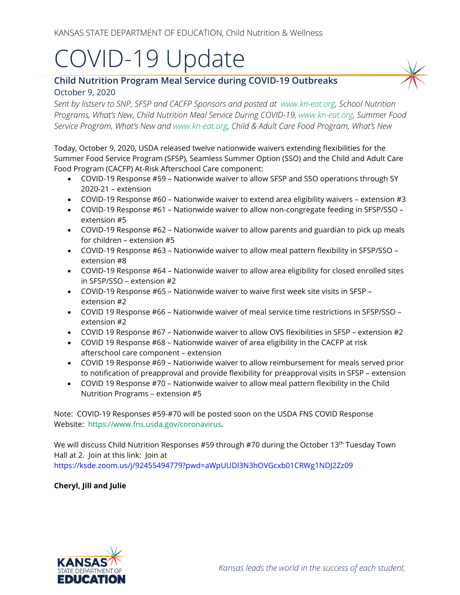## COVID-19 Update

## **Child Nutrition Program Meal Service during COVID-19 Outbreaks** October 9, 2020

*Sent by listserv to SNP, SFSP and CACFP Sponsors and posted at [www.kn-eat.org,](http://www.kn-eat.org/) School Nutrition Programs, What's New, Child Nutrition Meal Service During COVID-19, [www.kn-eat.org,](http://www.kn-eat.org/) Summer Food Service Program, What's New and [www.kn-eat.org,](http://www.kn-eat.org/) Child & Adult Care Food Program, What's New* 

Today, October 9, 2020, USDA released twelve nationwide waivers extending flexibilities for the Summer Food Service Program (SFSP), Seamless Summer Option (SSO) and the Child and Adult Care Food Program (CACFP) At-Risk Afterschool Care component:

- COVID-19 Response #59 Nationwide waiver to allow SFSP and SSO operations through SY 2020-21 – extension
- COVID-19 Response #60 Nationwide waiver to extend area eligibility waivers extension #3
- COVID-19 Response #61 Nationwide waiver to allow non-congregate feeding in SFSP/SSO extension #5
- COVID-19 Response #62 Nationwide waiver to allow parents and guardian to pick up meals for children – extension #5
- COVID-19 Response #63 Nationwide waiver to allow meal pattern flexibility in SFSP/SSO extension #8
- COVID-19 Response #64 Nationwide waiver to allow area eligibility for closed enrolled sites in SFSP/SSO – extension #2
- COVID-19 Response #65 Nationwide waiver to waive first week site visits in SFSP extension #2
- COVID 19 Response #66 Nationwide waiver of meal service time restrictions in SFSP/SSO extension #2
- COVID 19 Response #67 Nationwide waiver to allow OVS flexibilities in SFSP extension #2
- COVID 19 Response #68 Nationwide waiver of area eligibility in the CACFP at risk afterschool care component – extension
- COVID 19 Response #69 Nationwide waiver to allow reimbursement for meals served prior to notification of preapproval and provide flexibility for preapproval visits in SFSP – extension
- COVID 19 Response #70 Nationwide waiver to allow meal pattern flexibility in the Child Nutrition Programs – extension #5

Note: COVID-19 Responses #59-#70 will be posted soon on the USDA FNS COVID Response Website: [https://www.fns.usda.gov/coronavirus.](https://www.fns.usda.gov/coronavirus)

We will discuss Child Nutrition Responses #59 through #70 during the October 13<sup>th</sup> Tuesday Town Hall at 2. Join at this link: Join at [https://ksde.zoom.us/j/92455494779?pwd=aWpUUDl3N3hOVGcxb01CRWg1NDJ2Zz09](https://www.google.com/url?q=https%3A%2F%2Fksde.zoom.us%2Fj%2F92455494779%3Fpwd%3DaWpUUDl3N3hOVGcxb01CRWg1NDJ2Zz09&sa=D&ust=1602706313418000&usg=AOvVaw1fZ-NS_oFJ2thrMf0q3Rxe)

## **Cheryl, Jill and Julie**